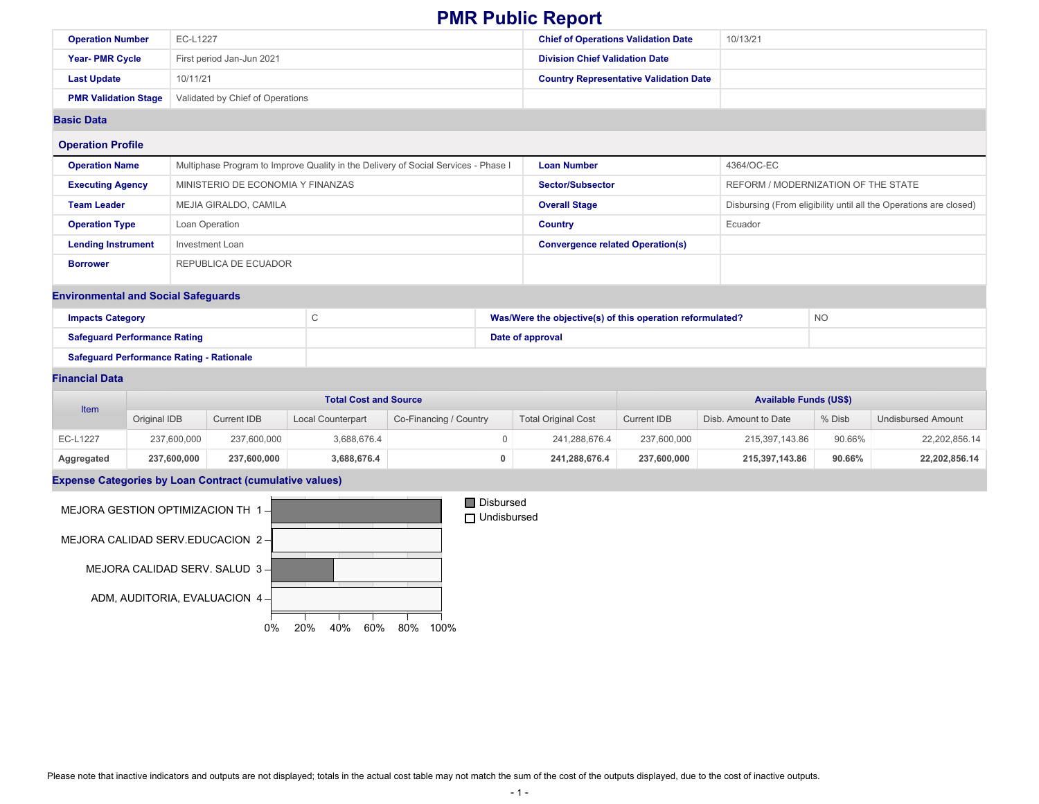|                                                                                   |                                                 |                                   |                                                                                    |  |                            | <b>FIVIR FUDIIC REPOIL</b>                                |                                               |                                     |                                                                   |               |  |  |
|-----------------------------------------------------------------------------------|-------------------------------------------------|-----------------------------------|------------------------------------------------------------------------------------|--|----------------------------|-----------------------------------------------------------|-----------------------------------------------|-------------------------------------|-------------------------------------------------------------------|---------------|--|--|
| <b>Operation Number</b>                                                           | EC-L1227                                        |                                   |                                                                                    |  |                            | <b>Chief of Operations Validation Date</b>                |                                               | 10/13/21                            |                                                                   |               |  |  |
| Year-PMR Cycle                                                                    |                                                 | First period Jan-Jun 2021         |                                                                                    |  |                            | <b>Division Chief Validation Date</b>                     |                                               |                                     |                                                                   |               |  |  |
| <b>Last Update</b>                                                                | 10/11/21                                        |                                   |                                                                                    |  |                            |                                                           | <b>Country Representative Validation Date</b> |                                     |                                                                   |               |  |  |
| <b>PMR Validation Stage</b>                                                       |                                                 | Validated by Chief of Operations  |                                                                                    |  |                            |                                                           |                                               |                                     |                                                                   |               |  |  |
| <b>Basic Data</b>                                                                 |                                                 |                                   |                                                                                    |  |                            |                                                           |                                               |                                     |                                                                   |               |  |  |
| <b>Operation Profile</b>                                                          |                                                 |                                   |                                                                                    |  |                            |                                                           |                                               |                                     |                                                                   |               |  |  |
| <b>Operation Name</b>                                                             |                                                 |                                   | Multiphase Program to Improve Quality in the Delivery of Social Services - Phase I |  |                            | <b>Loan Number</b>                                        |                                               | 4364/OC-EC                          |                                                                   |               |  |  |
| <b>Executing Agency</b>                                                           |                                                 | MINISTERIO DE ECONOMIA Y FINANZAS |                                                                                    |  |                            | <b>Sector/Subsector</b>                                   |                                               | REFORM / MODERNIZATION OF THE STATE |                                                                   |               |  |  |
| <b>Team Leader</b>                                                                |                                                 | MEJIA GIRALDO, CAMILA             |                                                                                    |  |                            | <b>Overall Stage</b>                                      |                                               |                                     | Disbursing (From eligibility until all the Operations are closed) |               |  |  |
| <b>Operation Type</b>                                                             |                                                 | Loan Operation                    |                                                                                    |  |                            | <b>Country</b>                                            |                                               | Ecuador                             |                                                                   |               |  |  |
| <b>Lending Instrument</b>                                                         |                                                 | <b>Investment Loan</b>            |                                                                                    |  |                            | <b>Convergence related Operation(s)</b>                   |                                               |                                     |                                                                   |               |  |  |
| <b>Borrower</b>                                                                   |                                                 | REPUBLICA DE ECUADOR              |                                                                                    |  |                            |                                                           |                                               |                                     |                                                                   |               |  |  |
|                                                                                   | <b>Environmental and Social Safeguards</b>      |                                   |                                                                                    |  |                            |                                                           |                                               |                                     |                                                                   |               |  |  |
| <b>Impacts Category</b>                                                           |                                                 |                                   | $\mathsf C$                                                                        |  |                            | Was/Were the objective(s) of this operation reformulated? |                                               |                                     | <b>NO</b>                                                         |               |  |  |
|                                                                                   | <b>Safeguard Performance Rating</b>             |                                   |                                                                                    |  |                            | Date of approval                                          |                                               |                                     |                                                                   |               |  |  |
|                                                                                   | <b>Safeguard Performance Rating - Rationale</b> |                                   |                                                                                    |  |                            |                                                           |                                               |                                     |                                                                   |               |  |  |
| <b>Financial Data</b>                                                             |                                                 |                                   |                                                                                    |  |                            |                                                           |                                               |                                     |                                                                   |               |  |  |
| <b>Total Cost and Source</b><br>Item                                              |                                                 |                                   |                                                                                    |  |                            |                                                           |                                               | <b>Available Funds (US\$)</b>       |                                                                   |               |  |  |
| Original IDB<br><b>Current IDB</b><br>Local Counterpart<br>Co-Financing / Country |                                                 |                                   |                                                                                    |  | <b>Total Original Cost</b> | <b>Current IDB</b>                                        | Disb. Amount to Date                          | % Disb                              | <b>Undisbursed Amount</b>                                         |               |  |  |
| <b>EC-L1227</b>                                                                   | 237,600,000                                     | 237,600,000                       | 3,688,676.4                                                                        |  | $\mathbf 0$                | 241,288,676.4                                             | 237,600,000                                   | 215,397,143.86                      | 90.66%                                                            | 22,202,856.14 |  |  |

**Aggregated 237,600,000 237,600,000 3,688,676.4 0 241,288,676.4 237,600,000 215,397,143.86 90.66% 22,202,856.14**

### **Expense Categories by Loan Contract (cumulative values)**



Please note that inactive indicators and outputs are not displayed; totals in the actual cost table may not match the sum of the cost of the outputs displayed, due to the cost of inactive outputs.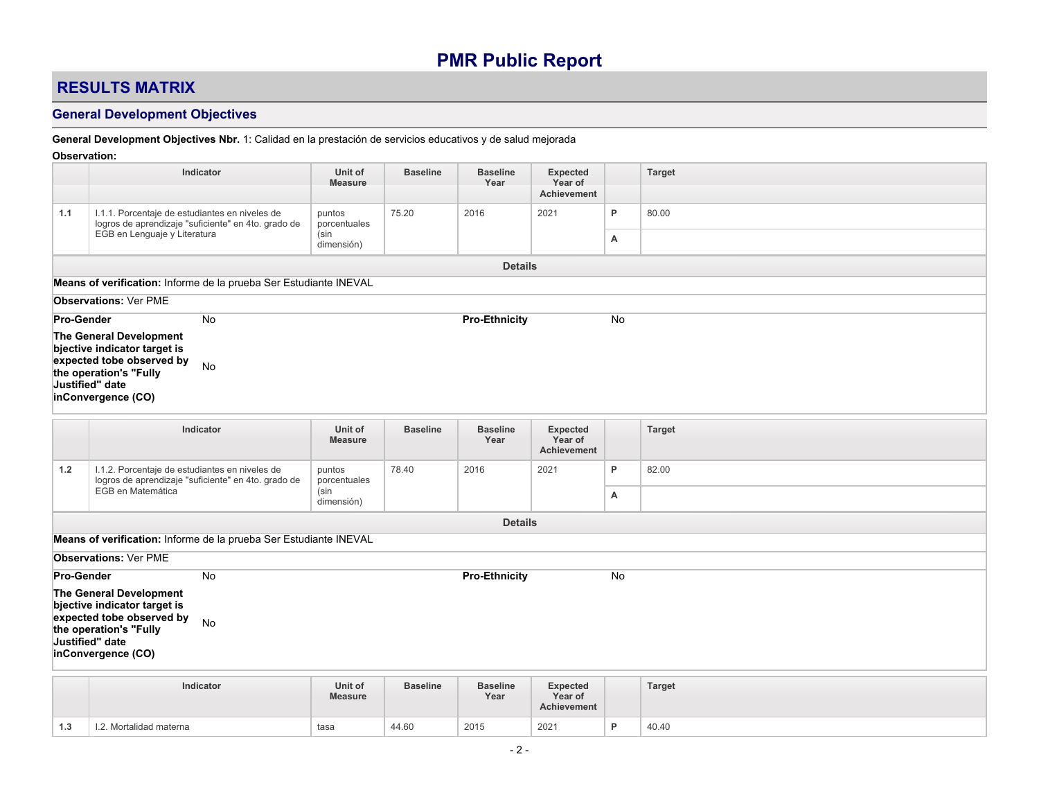## **RESULTS MATRIX**

### **General Development Objectives**

### **General Development Objectives Nbr.** 1: Calidad en la prestación de servicios educativos y de salud mejorada

#### **Observation:**

|                   | Indicator                                                                                                                                                                  | Unit of<br><b>Measure</b>                    | <b>Baseline</b> | <b>Baseline</b><br>Year | <b>Expected</b><br>Year of<br><b>Achievement</b> |           | Target        |
|-------------------|----------------------------------------------------------------------------------------------------------------------------------------------------------------------------|----------------------------------------------|-----------------|-------------------------|--------------------------------------------------|-----------|---------------|
| 1.1               | I.1.1. Porcentaje de estudiantes en niveles de<br>logros de aprendizaje "suficiente" en 4to. grado de<br>EGB en Lenguaje y Literatura                                      | puntos<br>porcentuales<br>(sin<br>dimensión) | 75.20           | 2016                    | 2021                                             | P<br>А    | 80.00         |
|                   |                                                                                                                                                                            |                                              |                 | <b>Details</b>          |                                                  |           |               |
|                   | Means of verification: Informe de la prueba Ser Estudiante INEVAL                                                                                                          |                                              |                 |                         |                                                  |           |               |
|                   | <b>Observations: Ver PME</b>                                                                                                                                               |                                              |                 |                         |                                                  |           |               |
| <b>Pro-Gender</b> | No<br>The General Development<br>bjective indicator target is<br>expected tobe observed by<br>No<br>the operation's "Fully<br>Justified" date<br>inConvergence (CO)        |                                              |                 | <b>Pro-Ethnicity</b>    |                                                  | No        |               |
|                   | Indicator                                                                                                                                                                  | Unit of<br><b>Measure</b>                    | <b>Baseline</b> | <b>Baseline</b><br>Year | <b>Expected</b><br>Year of<br><b>Achievement</b> |           | <b>Target</b> |
| 1.2               | I.1.2. Porcentaje de estudiantes en niveles de<br>logros de aprendizaje "suficiente" en 4to. grado de<br>EGB en Matemática                                                 | puntos<br>porcentuales<br>(sin<br>dimensión) | 78.40           | 2016                    | 2021                                             | P<br>А    | 82.00         |
|                   |                                                                                                                                                                            |                                              |                 | <b>Details</b>          |                                                  |           |               |
|                   | Means of verification: Informe de la prueba Ser Estudiante INEVAL                                                                                                          |                                              |                 |                         |                                                  |           |               |
|                   | <b>Observations: Ver PME</b>                                                                                                                                               |                                              |                 |                         |                                                  |           |               |
| Pro-Gender        | <b>No</b><br>The General Development<br>bjective indicator target is<br>expected tobe observed by<br>No<br>the operation's "Fully<br>Justified" date<br>inConvergence (CO) |                                              |                 | <b>Pro-Ethnicity</b>    |                                                  | <b>No</b> |               |
|                   | Indicator                                                                                                                                                                  | Unit of<br><b>Measure</b>                    | <b>Baseline</b> | <b>Baseline</b><br>Year | <b>Expected</b><br>Year of<br><b>Achievement</b> |           | <b>Target</b> |
| 1.3               | I.2. Mortalidad materna                                                                                                                                                    | tasa                                         | 44.60           | 2015                    | 2021                                             | P         | 40.40         |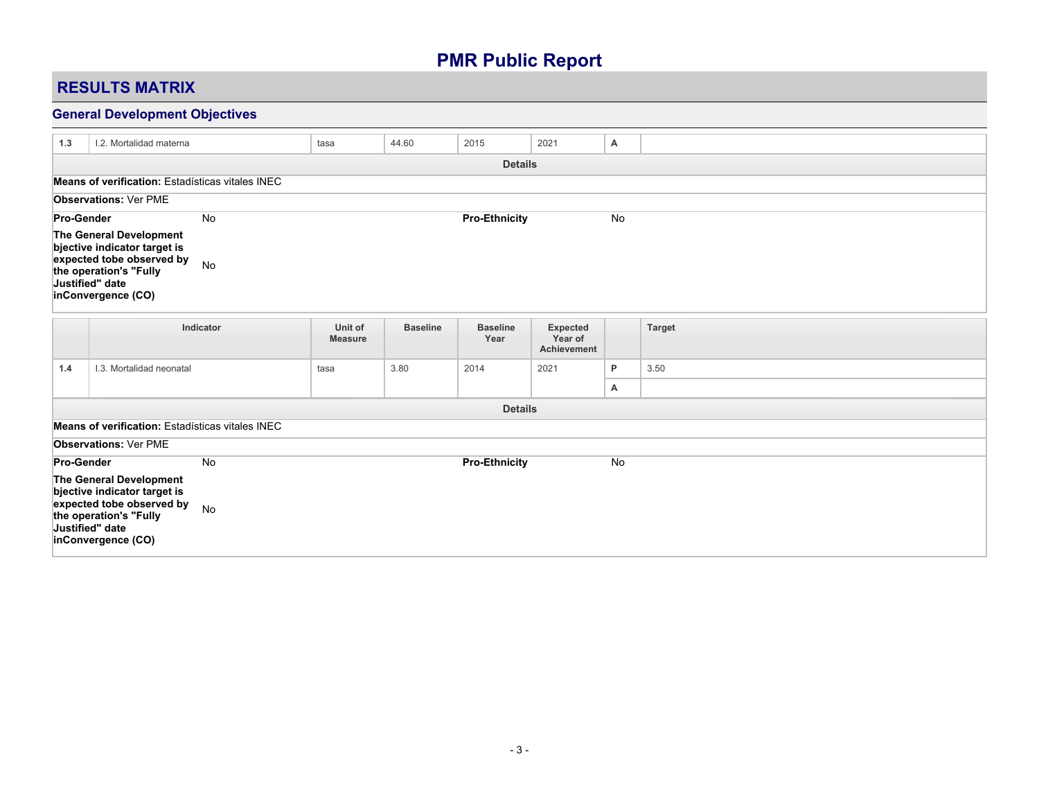## **RESULTS MATRIX**

## **General Development Objectives**

| 1.3               | I.2. Mortalidad materna                                                                                                                                 |           | tasa                      | 44.60           | 2015                    | 2021                                             | Α  |               |
|-------------------|---------------------------------------------------------------------------------------------------------------------------------------------------------|-----------|---------------------------|-----------------|-------------------------|--------------------------------------------------|----|---------------|
|                   |                                                                                                                                                         |           |                           |                 | <b>Details</b>          |                                                  |    |               |
|                   | Means of verification: Estadísticas vitales INEC                                                                                                        |           |                           |                 |                         |                                                  |    |               |
|                   | <b>Observations: Ver PME</b>                                                                                                                            |           |                           |                 |                         |                                                  |    |               |
| Pro-Gender        |                                                                                                                                                         | No        |                           |                 | <b>Pro-Ethnicity</b>    |                                                  | No |               |
|                   | The General Development<br>bjective indicator target is<br>expected tobe observed by<br>the operation's "Fully<br>Justified" date<br>inConvergence (CO) | No        |                           |                 |                         |                                                  |    |               |
|                   |                                                                                                                                                         | Indicator | Unit of<br><b>Measure</b> | <b>Baseline</b> | <b>Baseline</b><br>Year | <b>Expected</b><br>Year of<br><b>Achievement</b> |    | <b>Target</b> |
| 1.4               | I.3. Mortalidad neonatal                                                                                                                                |           | tasa                      | 3.80            | 2014                    | 2021                                             | P  | 3.50          |
|                   |                                                                                                                                                         |           |                           |                 |                         |                                                  | A  |               |
|                   |                                                                                                                                                         |           |                           |                 | <b>Details</b>          |                                                  |    |               |
|                   | Means of verification: Estadísticas vitales INEC                                                                                                        |           |                           |                 |                         |                                                  |    |               |
|                   | <b>Observations: Ver PME</b>                                                                                                                            |           |                           |                 |                         |                                                  |    |               |
| <b>Pro-Gender</b> |                                                                                                                                                         | <b>No</b> |                           |                 | <b>Pro-Ethnicity</b>    |                                                  | No |               |
|                   | The General Development<br>bjective indicator target is<br>expected tobe observed by<br>the operation's "Fully<br>Justified" date<br>inConvergence (CO) | No        |                           |                 |                         |                                                  |    |               |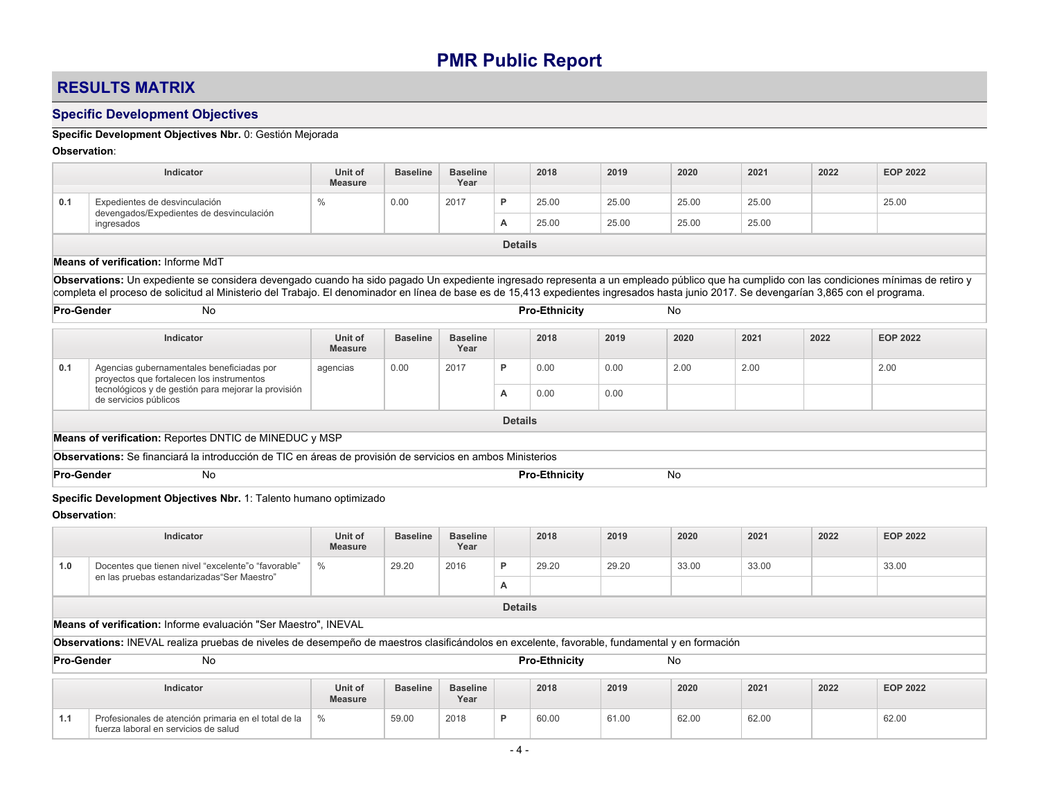## **RESULTS MATRIX**

## **Specific Development Objectives**

## **Specific Development Objectives Nbr.** 0: Gestión Mejorada

### **Observation**:

|                   | Indicator                                                                                                                                                                                                                                                                                                                                                                            | Unit of<br><b>Measure</b> | <b>Baseline</b> | <b>Baseline</b><br>Year |                | 2018                 | 2019  | 2020      | 2021  | 2022 | <b>EOP 2022</b> |
|-------------------|--------------------------------------------------------------------------------------------------------------------------------------------------------------------------------------------------------------------------------------------------------------------------------------------------------------------------------------------------------------------------------------|---------------------------|-----------------|-------------------------|----------------|----------------------|-------|-----------|-------|------|-----------------|
|                   |                                                                                                                                                                                                                                                                                                                                                                                      |                           |                 |                         |                |                      |       |           |       |      |                 |
| 0.1               | Expedientes de desvinculación<br>devengados/Expedientes de desvinculación                                                                                                                                                                                                                                                                                                            | $\frac{0}{0}$             | 0.00            | 2017                    | P              | 25.00                | 25.00 | 25.00     | 25.00 |      | 25.00           |
|                   | ingresados                                                                                                                                                                                                                                                                                                                                                                           |                           |                 |                         | А              | 25.00                | 25.00 | 25.00     | 25.00 |      |                 |
|                   |                                                                                                                                                                                                                                                                                                                                                                                      |                           |                 |                         | <b>Details</b> |                      |       |           |       |      |                 |
|                   | Means of verification: Informe MdT                                                                                                                                                                                                                                                                                                                                                   |                           |                 |                         |                |                      |       |           |       |      |                 |
|                   | Observations: Un expediente se considera devengado cuando ha sido pagado Un expediente ingresado representa a un empleado público que ha cumplido con las condiciones mínimas de retiro y<br>completa el proceso de solicitud al Ministerio del Trabajo. El denominador en línea de base es de 15.413 expedientes ingresados hasta junio 2017. Se devengarían 3.865 con el programa. |                           |                 |                         |                |                      |       |           |       |      |                 |
| <b>Pro-Gender</b> | <b>No</b>                                                                                                                                                                                                                                                                                                                                                                            |                           |                 |                         |                | <b>Pro-Ethnicity</b> |       | <b>No</b> |       |      |                 |
|                   | Indicator                                                                                                                                                                                                                                                                                                                                                                            | Unit of<br><b>Measure</b> | <b>Baseline</b> | <b>Baseline</b><br>Year |                | 2018                 | 2019  | 2020      | 2021  | 2022 | <b>EOP 2022</b> |
| 0.1               | Agencias gubernamentales beneficiadas por<br>provectos que fortalecen los instrumentos                                                                                                                                                                                                                                                                                               | agencias                  | 0.00            | 2017                    | P              | 0.00                 | 0.00  | 2.00      | 2.00  |      | 2.00            |
|                   | tecnológicos y de gestión para mejorar la provisión<br>de servicios públicos                                                                                                                                                                                                                                                                                                         |                           |                 |                         | A              | 0.00                 | 0.00  |           |       |      |                 |
|                   |                                                                                                                                                                                                                                                                                                                                                                                      |                           |                 |                         | <b>Details</b> |                      |       |           |       |      |                 |
|                   | Means of verification: Reportes DNTIC de MINEDUC y MSP                                                                                                                                                                                                                                                                                                                               |                           |                 |                         |                |                      |       |           |       |      |                 |
|                   | Observations: Se financiará la introducción de TIC en áreas de provisión de servicios en ambos Ministerios                                                                                                                                                                                                                                                                           |                           |                 |                         |                |                      |       |           |       |      |                 |
| <b>Pro-Gender</b> | <b>No</b>                                                                                                                                                                                                                                                                                                                                                                            |                           |                 |                         |                | <b>Pro-Ethnicity</b> |       | <b>No</b> |       |      |                 |
| Observation:      | Specific Development Objectives Nbr. 1: Talento humano optimizado                                                                                                                                                                                                                                                                                                                    |                           |                 |                         |                |                      |       |           |       |      |                 |
|                   | Indicator                                                                                                                                                                                                                                                                                                                                                                            | Unit of<br><b>Measure</b> | <b>Baseline</b> | <b>Baseline</b><br>Year |                | 2018                 | 2019  | 2020      | 2021  | 2022 | <b>EOP 2022</b> |
| 1.0               | $\%$<br>Docentes que tienen nivel "excelente" o "favorable"<br>29.20<br>2016<br>P<br>29.20<br>29.20<br>33.00<br>33.00<br>33.00<br>en las pruebas estandarizadas "Ser Maestro"                                                                                                                                                                                                        |                           |                 |                         |                |                      |       |           |       |      |                 |
|                   |                                                                                                                                                                                                                                                                                                                                                                                      |                           |                 |                         | А              |                      |       |           |       |      |                 |
|                   |                                                                                                                                                                                                                                                                                                                                                                                      |                           |                 |                         | <b>Details</b> |                      |       |           |       |      |                 |
|                   | Means of verification: Informe evaluación "Ser Maestro", INEVAL                                                                                                                                                                                                                                                                                                                      |                           |                 |                         |                |                      |       |           |       |      |                 |
|                   | Observations: INEVAL realiza pruebas de niveles de desempeño de maestros clasificándolos en excelente, favorable, fundamental y en formación                                                                                                                                                                                                                                         |                           |                 |                         |                |                      |       |           |       |      |                 |
| <b>Pro-Gender</b> | No                                                                                                                                                                                                                                                                                                                                                                                   |                           |                 |                         |                | <b>Pro-Ethnicity</b> |       | No        |       |      |                 |

|            | <b>Indicator</b>                                                                             | Unit of<br><b>Measure</b> | <b>Baseline</b> | <b>Baseline</b><br>Year |   | 2018  | 2019  | 2020  | 2021  | 2022 | <b>EOP 2022</b> |
|------------|----------------------------------------------------------------------------------------------|---------------------------|-----------------|-------------------------|---|-------|-------|-------|-------|------|-----------------|
| - 4<br>1.1 | Profesionales de atención primaria en el total de la<br>fuerza laboral en servicios de salud | 0/2                       | 59.00           | 2018                    | D | 60.00 | 61.00 | 62.00 | 62.00 |      | 62.00           |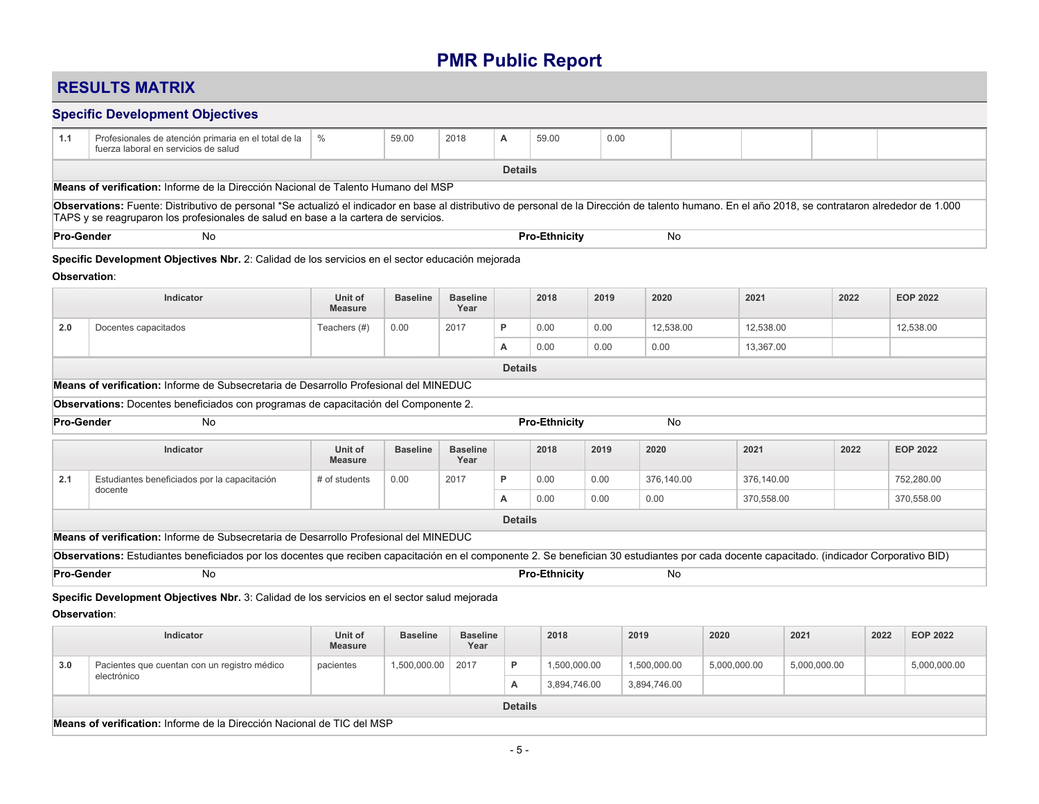## **RESULTS MATRIX**

### **Specific Development Objectives**

| 1.1 | Profesionales de atención primaria en el total de la   %<br>fuerza laboral en servicios de salud                                                                                                   |  | 59.00 | 2018 |  | 59.00 | 0.00 |  |  |  |  |  |
|-----|----------------------------------------------------------------------------------------------------------------------------------------------------------------------------------------------------|--|-------|------|--|-------|------|--|--|--|--|--|
|     | <b>Details</b>                                                                                                                                                                                     |  |       |      |  |       |      |  |  |  |  |  |
|     | Means of verification: Informe de la Dirección Nacional de Talento Humano del MSP                                                                                                                  |  |       |      |  |       |      |  |  |  |  |  |
|     | Observations: Fuente: Distributivo de personal *Se actualizó el indicador en base al distributivo de personal de la Dirección de talento humano. En el año 2018, se contrataron alrededor de 1.000 |  |       |      |  |       |      |  |  |  |  |  |

TAPS y se reagruparon los profesionales de salud en base a la cartera de servicios.

**Pro-Gender** No **Pro-Ethnicity** No

### **Specific Development Objectives Nbr.** 2: Calidad de los servicios en el sector educación mejorada

#### **Observation**:

|                   | Indicator                                                                                                                                                                                  | Unit of<br><b>Measure</b> | <b>Baseline</b> | <b>Baseline</b><br>Year |                | 2018                 | 2019 | 2020         | 2021         |              | 2022 | <b>EOP 2022</b> |
|-------------------|--------------------------------------------------------------------------------------------------------------------------------------------------------------------------------------------|---------------------------|-----------------|-------------------------|----------------|----------------------|------|--------------|--------------|--------------|------|-----------------|
| 2.0               | Docentes capacitados                                                                                                                                                                       | Teachers (#)              | 0.00            | 2017                    | P              | 0.00                 | 0.00 | 12,538.00    | 12,538.00    |              |      | 12,538.00       |
|                   |                                                                                                                                                                                            |                           |                 |                         | А              | 0.00                 | 0.00 | 0.00         | 13,367.00    |              |      |                 |
|                   |                                                                                                                                                                                            |                           |                 |                         | <b>Details</b> |                      |      |              |              |              |      |                 |
|                   | <b>Means of verification:</b> Informe de Subsecretaria de Desarrollo Profesional del MINEDUC                                                                                               |                           |                 |                         |                |                      |      |              |              |              |      |                 |
|                   | Observations: Docentes beneficiados con programas de capacitación del Componente 2.                                                                                                        |                           |                 |                         |                |                      |      |              |              |              |      |                 |
| <b>Pro-Gender</b> | <b>No</b>                                                                                                                                                                                  |                           |                 |                         |                | <b>Pro-Ethnicity</b> |      | No           |              |              |      |                 |
|                   | Indicator                                                                                                                                                                                  | Unit of<br><b>Measure</b> | <b>Baseline</b> | <b>Baseline</b><br>Year |                | 2018                 | 2019 | 2020         | 2021         |              | 2022 | <b>EOP 2022</b> |
| 2.1               | Estudiantes beneficiados por la capacitación                                                                                                                                               | # of students             | 0.00            | 2017                    | P              | 0.00                 | 0.00 | 376,140.00   | 376,140.00   |              |      | 752,280.00      |
|                   | docente                                                                                                                                                                                    |                           |                 |                         | А              | 0.00                 | 0.00 | 0.00         | 370,558.00   |              |      | 370,558.00      |
|                   |                                                                                                                                                                                            |                           |                 |                         | <b>Details</b> |                      |      |              |              |              |      |                 |
|                   | Means of verification: Informe de Subsecretaria de Desarrollo Profesional del MINEDUC                                                                                                      |                           |                 |                         |                |                      |      |              |              |              |      |                 |
|                   | Observations: Estudiantes beneficiados por los docentes que reciben capacitación en el componente 2. Se benefician 30 estudiantes por cada docente capacitado. (indicador Corporativo BID) |                           |                 |                         |                |                      |      |              |              |              |      |                 |
| <b>Pro-Gender</b> | <b>No</b>                                                                                                                                                                                  |                           |                 |                         |                | <b>Pro-Ethnicity</b> |      | No           |              |              |      |                 |
|                   | Specific Development Objectives Nbr. 3: Calidad de los servicios en el sector salud mejorada                                                                                               |                           |                 |                         |                |                      |      |              |              |              |      |                 |
| Observation:      |                                                                                                                                                                                            |                           |                 |                         |                |                      |      |              |              |              |      |                 |
|                   | Indicator                                                                                                                                                                                  | Unit of<br><b>Measure</b> | <b>Baseline</b> | <b>Baseline</b><br>Year |                | 2018                 |      | 2019         | 2020         | 2021         | 2022 | <b>EOP 2022</b> |
| 3.0               | Pacientes que cuentan con un registro médico                                                                                                                                               | pacientes                 | 1,500,000.00    | 2017                    | P              | 1,500,000.00         |      | 1,500,000.00 | 5,000,000.00 | 5,000,000.00 |      | 5,000,000.00    |

| lectrónico                                                             |  | $\mathbf{r}$   | 3.894.746.00 | 3.894.746.00 |  |  |
|------------------------------------------------------------------------|--|----------------|--------------|--------------|--|--|
|                                                                        |  | <b>Details</b> |              |              |  |  |
| Means of verification: Informe de la Dirección Nacional de TIC del MSP |  |                |              |              |  |  |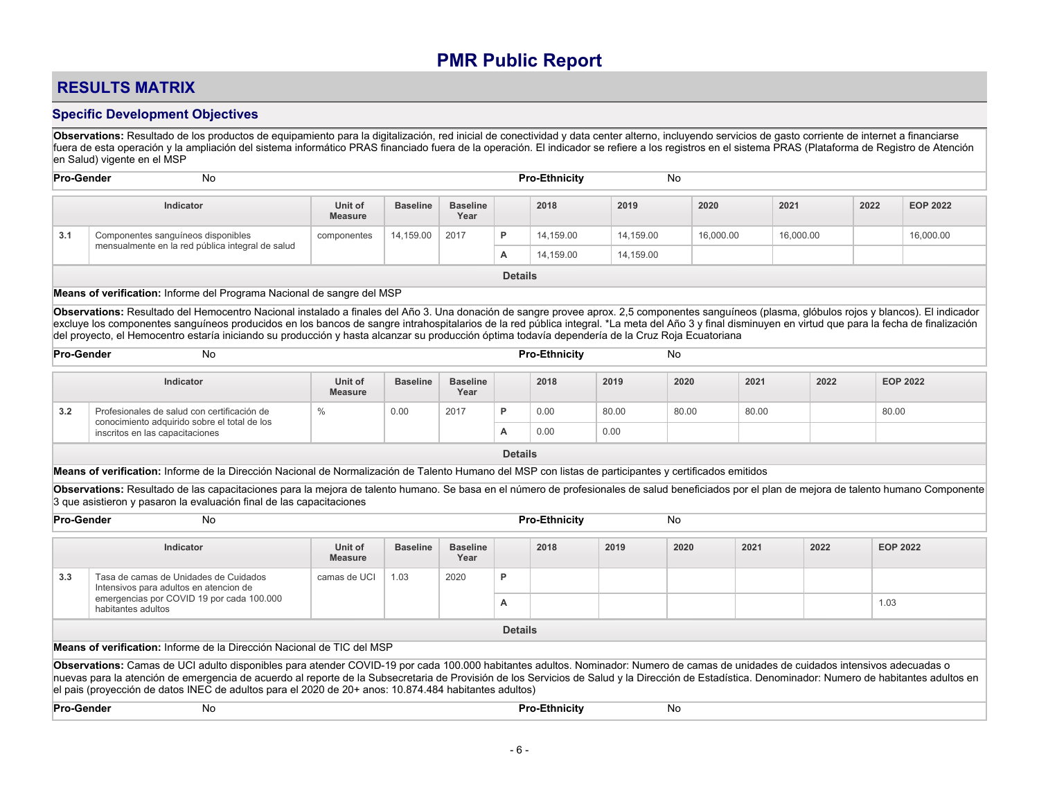## **RESULTS MATRIX**

### **Specific Development Objectives**

**Observations:** Resultado de los productos de equipamiento para la digitalización, red inicial de conectividad y data center alterno, incluyendo servicios de gasto corriente de internet a financiarse fuera de esta operación y la ampliación del sistema informático PRAS financiado fuera de la operación. El indicador se refiere a los registros en el sistema PRAS (Plataforma de Registro de Atención en Salud) vigente en el MSP

| <b>Pro-Gender</b> | No                                               |                           |                 |                         |                | <b>Pro-Ethnicity</b> | No        |           |           |      |                 |
|-------------------|--------------------------------------------------|---------------------------|-----------------|-------------------------|----------------|----------------------|-----------|-----------|-----------|------|-----------------|
|                   | Indicator                                        | Unit of<br><b>Measure</b> | <b>Baseline</b> | <b>Baseline</b><br>Year |                | 2018                 | 2019      | 2020      | 2021      | 2022 | <b>EOP 2022</b> |
| 3.1               | Componentes sanguíneos disponibles               | componentes               | 14,159.00       | 2017                    | D              | 14.159.00            | 14,159.00 | 16,000.00 | 16,000.00 |      | 16,000.00       |
|                   | mensualmente en la red pública integral de salud |                           |                 |                         | А              | 14,159.00            | 14,159.00 |           |           |      |                 |
|                   |                                                  |                           |                 |                         | <b>Details</b> |                      |           |           |           |      |                 |

#### **Means of verification:** Informe del Programa Nacional de sangre del MSP

**Observations:** Resultado del Hemocentro Nacional instalado a finales del Año 3. Una donación de sangre provee aprox. 2,5 componentes sanguíneos (plasma, glóbulos rojos y blancos). El indicador excluye los componentes sanguíneos producidos en los bancos de sangre intrahospitalarios de la red pública integral. \*La meta del Año 3 y final disminuyen en virtud que para la fecha de finalización del proyecto, el Hemocentro estaría iniciando su producción y hasta alcanzar su producción óptima todavía dependería de la Cruz Roja Ecuatoriana

| <b>Pro-Gender</b> | <b>No</b>                                                                                   |                           |                 |                         |   | <b>Pro-Ethnicity</b> |       | No    |       |      |                 |
|-------------------|---------------------------------------------------------------------------------------------|---------------------------|-----------------|-------------------------|---|----------------------|-------|-------|-------|------|-----------------|
|                   | Indicator                                                                                   | Unit of<br><b>Measure</b> | <b>Baseline</b> | <b>Baseline</b><br>Year |   | 2018                 | 2019  | 2020  | 2021  | 2022 | <b>EOP 2022</b> |
| 3.2               | Profesionales de salud con certificación de<br>conocimiento adquirido sobre el total de los |                           | 0.00            | 2017                    | D | 0.00                 | 80.00 | 80.00 | 80.00 |      | 80.00           |
|                   | inscritos en las capacitaciones                                                             |                           |                 |                         | A | 0.00                 | 0.00  |       |       |      |                 |

**Details**

**Means of verification:** Informe de la Dirección Nacional de Normalización de Talento Humano del MSP con listas de participantes y certificados emitidos

**Observations:** Resultado de las capacitaciones para la mejora de talento humano. Se basa en el número de profesionales de salud beneficiados por el plan de mejora de talento humano Componente 3 que asistieron y pasaron la evaluación final de las capacitaciones

| <b>Pro-Gender</b> | No                                                                                                                                                                                                                                                                                                                                                                                                                                                                                                |                           |                 |                         |                | <b>Pro-Ethnicity</b> |      | No   |      |      |                 |
|-------------------|---------------------------------------------------------------------------------------------------------------------------------------------------------------------------------------------------------------------------------------------------------------------------------------------------------------------------------------------------------------------------------------------------------------------------------------------------------------------------------------------------|---------------------------|-----------------|-------------------------|----------------|----------------------|------|------|------|------|-----------------|
|                   | Indicator                                                                                                                                                                                                                                                                                                                                                                                                                                                                                         | Unit of<br><b>Measure</b> | <b>Baseline</b> | <b>Baseline</b><br>Year |                | 2018                 | 2019 | 2020 | 2021 | 2022 | <b>EOP 2022</b> |
| 3.3               | Tasa de camas de Unidades de Cuidados<br>Intensivos para adultos en atencion de                                                                                                                                                                                                                                                                                                                                                                                                                   | camas de UCI              | 1.03            | 2020                    | P              |                      |      |      |      |      |                 |
|                   | emergencias por COVID 19 por cada 100.000<br>habitantes adultos                                                                                                                                                                                                                                                                                                                                                                                                                                   |                           |                 |                         | A              |                      |      |      |      |      | 1.03            |
|                   |                                                                                                                                                                                                                                                                                                                                                                                                                                                                                                   |                           |                 |                         | <b>Details</b> |                      |      |      |      |      |                 |
|                   | Means of verification: Informe de la Dirección Nacional de TIC del MSP                                                                                                                                                                                                                                                                                                                                                                                                                            |                           |                 |                         |                |                      |      |      |      |      |                 |
|                   | Observations: Camas de UCI adulto disponibles para atender COVID-19 por cada 100.000 habitantes adultos. Nominador: Numero de camas de unidades de cuidados intensivos adecuadas o<br>nuevas para la atención de emergencia de acuerdo al reporte de la Subsecretaria de Provisión de los Servicios de Salud y la Dirección de Estadística. Denominador: Numero de habitantes adultos en<br>el pais (proyección de datos INEC de adultos para el 2020 de 20+ anos: 10.874.484 habitantes adultos) |                           |                 |                         |                |                      |      |      |      |      |                 |
|                   | <b>Pro-Gender</b><br>No<br><b>Pro-Ethnicity</b><br>No                                                                                                                                                                                                                                                                                                                                                                                                                                             |                           |                 |                         |                |                      |      |      |      |      |                 |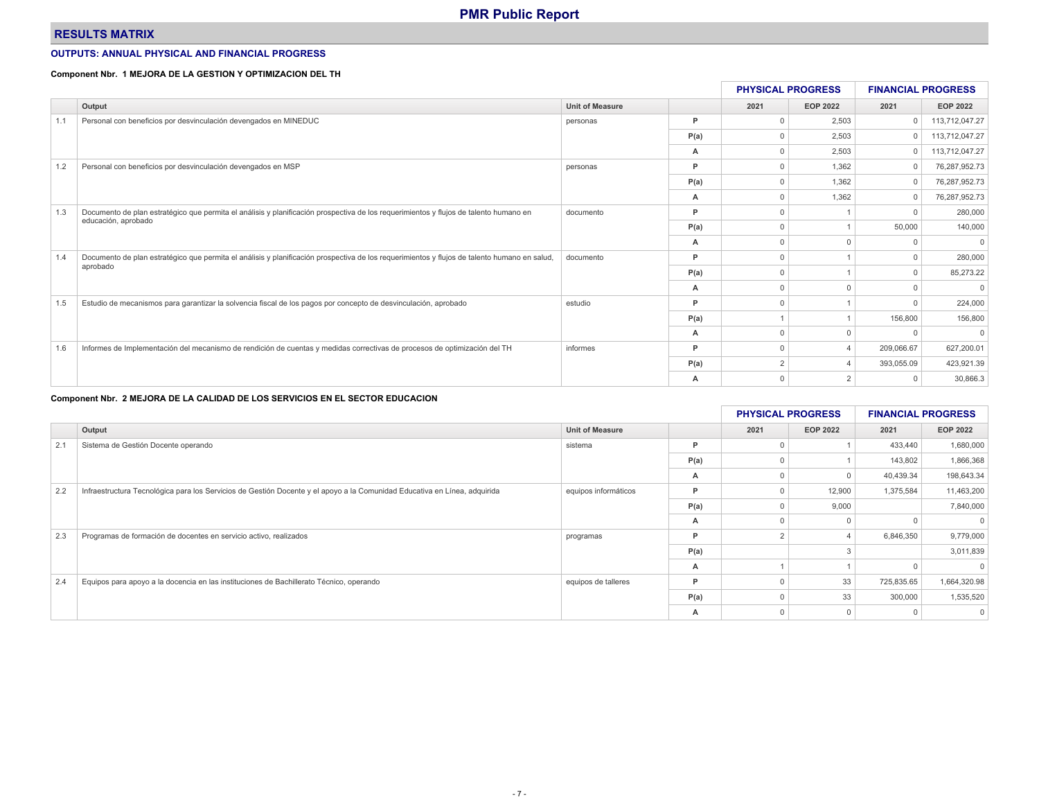### **RESULTS MATRIX**

#### **OUTPUTS: ANNUAL PHYSICAL AND FINANCIAL PROGRESS**

#### **Component Nbr. 1 MEJORA DE LA GESTION Y OPTIMIZACION DEL TH**

|     |                                                                                                                                              |                        |      | <b>PHYSICAL PROGRESS</b> |                 | <b>FINANCIAL PROGRESS</b> |                 |
|-----|----------------------------------------------------------------------------------------------------------------------------------------------|------------------------|------|--------------------------|-----------------|---------------------------|-----------------|
|     | Output                                                                                                                                       | <b>Unit of Measure</b> |      | 2021                     | <b>EOP 2022</b> | 2021                      | <b>EOP 2022</b> |
|     | Personal con beneficios por desvinculación devengados en MINEDUC                                                                             | personas               | P    |                          | 2,503           | $\Omega$                  | 113,712,047.27  |
|     |                                                                                                                                              |                        | P(a) |                          | 2,503           |                           | 113,712,047.27  |
|     |                                                                                                                                              |                        | А    | 0                        | 2,503           | $\Omega$                  | 113,712,047.27  |
| 1.2 | Personal con beneficios por desvinculación devengados en MSP                                                                                 | personas               | P    |                          | 1,362           |                           | 76,287,952.73   |
|     |                                                                                                                                              |                        | P(a) |                          | 1,362           |                           | 76,287,952.73   |
|     |                                                                                                                                              |                        | A    |                          | 1.362           |                           | 76,287,952.73   |
| 1.3 | Documento de plan estratégico que permita el análisis y planificación prospectiva de los requerimientos y flujos de talento humano en        | documento              | P    | $\cap$                   |                 |                           | 280,000         |
|     | educación, aprobado                                                                                                                          |                        | P(a) | $\Omega$                 |                 | 50,000                    | 140,000         |
|     |                                                                                                                                              |                        | A    |                          |                 |                           |                 |
| 1.4 | Documento de plan estratégico que permita el análisis y planificación prospectiva de los requerimientos y flujos de talento humano en salud, | documento              | P    | $\Omega$                 |                 |                           | 280,000         |
|     | aprobado                                                                                                                                     |                        | P(a) |                          |                 |                           | 85,273.22       |
|     |                                                                                                                                              |                        | A    |                          |                 |                           |                 |
| 1.5 | Estudio de mecanismos para garantizar la solvencia fiscal de los pagos por concepto de desvinculación, aprobado                              | estudio                | P    |                          |                 |                           | 224,000         |
|     |                                                                                                                                              |                        | P(a) |                          |                 | 156,800                   | 156,800         |
|     |                                                                                                                                              |                        | A    |                          |                 |                           |                 |
| 1.6 | Informes de Implementación del mecanismo de rendición de cuentas y medidas correctivas de procesos de optimización del TH                    | informes               | P    |                          |                 | 209,066.67                | 627,200.01      |
|     |                                                                                                                                              |                        | P(a) | 2                        |                 | 393,055.09                | 423,921.39      |
|     |                                                                                                                                              |                        | А    |                          |                 |                           | 30,866.3        |

#### **Component Nbr. 2 MEJORA DE LA CALIDAD DE LOS SERVICIOS EN EL SECTOR EDUCACION**

|     |                                                                                                                           |                        |      | <b>PHYSICAL PROGRESS</b> |                 | <b>FINANCIAL PROGRESS</b> |                 |
|-----|---------------------------------------------------------------------------------------------------------------------------|------------------------|------|--------------------------|-----------------|---------------------------|-----------------|
|     | Output                                                                                                                    | <b>Unit of Measure</b> |      | 2021                     | <b>EOP 2022</b> | 2021                      | <b>EOP 2022</b> |
| 2.1 | Sistema de Gestión Docente operando                                                                                       | sistema                | Þ    |                          |                 | 433,440                   | 1,680,000       |
|     |                                                                                                                           |                        | P(a) |                          |                 | 143,802                   | 1,866,368       |
|     |                                                                                                                           |                        | А    |                          |                 | 40,439.34                 | 198,643.34      |
| 2.2 | Infraestructura Tecnológica para los Servicios de Gestión Docente y el apoyo a la Comunidad Educativa en Línea, adquirida | equipos informáticos   | P    |                          | 12,900          | 1,375,584                 | 11,463,200      |
|     |                                                                                                                           |                        | P(a) |                          | 9,000           |                           | 7,840,000       |
|     |                                                                                                                           |                        | A    |                          |                 |                           | $\Omega$        |
| 2.3 | Programas de formación de docentes en servicio activo, realizados                                                         | programas              | D    |                          |                 | 6,846,350                 | 9,779,000       |
|     |                                                                                                                           |                        | P(a) |                          |                 |                           | 3,011,839       |
|     |                                                                                                                           |                        | А    |                          |                 |                           |                 |
| 2.4 | Equipos para apoyo a la docencia en las instituciones de Bachillerato Técnico, operando                                   | equipos de talleres    | D    |                          | 33              | 725,835.65                | 1,664,320.98    |
|     |                                                                                                                           |                        | P(a) |                          | 33              | 300,000                   | 1,535,520       |
|     |                                                                                                                           |                        | А    |                          |                 |                           | $\mathbf{0}$    |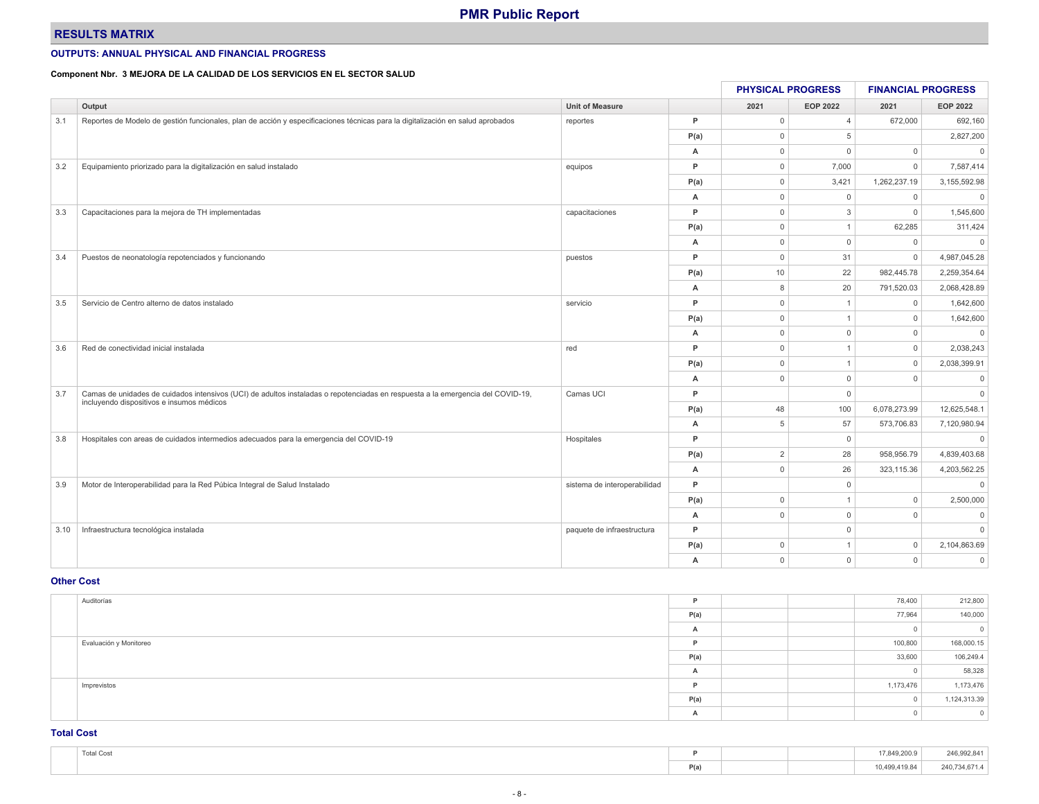### **RESULTS MATRIX**

#### **OUTPUTS: ANNUAL PHYSICAL AND FINANCIAL PROGRESS**

#### **Component Nbr. 3 MEJORA DE LA CALIDAD DE LOS SERVICIOS EN EL SECTOR SALUD**

|      |                                                                                                                                 |                              |      |                     |                 |              | <b>FINANCIAL PROGRESS</b> |  |
|------|---------------------------------------------------------------------------------------------------------------------------------|------------------------------|------|---------------------|-----------------|--------------|---------------------------|--|
|      | Output                                                                                                                          | <b>Unit of Measure</b>       |      | 2021                | <b>EOP 2022</b> | 2021         | <b>EOP 2022</b>           |  |
| 3.1  | Reportes de Modelo de gestión funcionales, plan de acción y especificaciones técnicas para la digitalización en salud aprobados | reportes                     | P    | $\overline{0}$      | $\overline{4}$  | 672,000      | 692,160                   |  |
|      |                                                                                                                                 |                              | P(a) | $\mathbf 0$         | 5               |              | 2,827,200                 |  |
|      |                                                                                                                                 |                              | А    | $\overline{0}$      | $\Omega$        | $\mathbf 0$  | $\mathbf{0}$              |  |
| 3.2  | Equipamiento priorizado para la digitalización en salud instalado                                                               | equipos                      | P    | $\mathbf 0$         | 7,000           | $\Omega$     | 7,587,414                 |  |
|      |                                                                                                                                 |                              | P(a) | $\mathbf 0$         | 3,421           | 1,262,237.19 | 3,155,592.98              |  |
|      |                                                                                                                                 |                              | A    | $\mathbf 0$         | $\Omega$        | $\mathbf 0$  | $\overline{0}$            |  |
| 3.3  | Capacitaciones para la mejora de TH implementadas                                                                               | capacitaciones               | P    | $\mathbf 0$         | 3               | $\mathbf 0$  | 1,545,600                 |  |
|      |                                                                                                                                 |                              | P(a) | $\mathsf{O}\xspace$ |                 | 62,285       | 311,424                   |  |
|      |                                                                                                                                 |                              | А    | $\mathbf 0$         | $\mathbf 0$     | $\mathbf 0$  | $\overline{0}$            |  |
| 3.4  | Puestos de neonatología repotenciados y funcionando                                                                             | puestos                      | P    | $\mathbf 0$         | 31              | $\Omega$     | 4,987,045.28              |  |
|      |                                                                                                                                 |                              | P(a) | 10                  | 22              | 982,445.78   | 2,259,354.64              |  |
|      |                                                                                                                                 |                              | A    | 8                   | 20              | 791,520.03   | 2,068,428.89              |  |
| 3.5  | Servicio de Centro alterno de datos instalado                                                                                   | servicio                     | P    | $\mathbf 0$         |                 | $\mathbf 0$  | 1,642,600                 |  |
|      |                                                                                                                                 |                              | P(a) | $\mathbf 0$         |                 | $\mathbf 0$  | 1,642,600                 |  |
|      |                                                                                                                                 |                              | А    | $\mathbf 0$         | $\Omega$        | $\Omega$     | $\mathbf{0}$              |  |
| 3.6  | Red de conectividad inicial instalada                                                                                           | red                          | P    | $\mathbf 0$         |                 | $\mathbf 0$  | 2,038,243                 |  |
|      |                                                                                                                                 |                              | P(a) | $\circ$             |                 | $\mathbf 0$  | 2,038,399.91              |  |
|      |                                                                                                                                 |                              | А    | $\Omega$            | $\Omega$        | $\Omega$     | $\mathsf 0$               |  |
| 3.7  | Camas de unidades de cuidados intensivos (UCI) de adultos instaladas o repotenciadas en respuesta a la emergencia del COVID-19, | Camas UCI                    | P    |                     | $\Omega$        |              | $\overline{0}$            |  |
|      | incluyendo dispositivos e insumos médicos                                                                                       |                              | P(a) | 48                  | 100             | 6,078,273.99 | 12,625,548.1              |  |
|      |                                                                                                                                 |                              | А    | 5                   | 57              | 573,706.83   | 7,120,980.94              |  |
| 3.8  | Hospitales con areas de cuidados intermedios adecuados para la emergencia del COVID-19                                          | Hospitales                   | P    |                     | $\mathbf 0$     |              | $\overline{0}$            |  |
|      |                                                                                                                                 |                              | P(a) | $\overline{2}$      | 28              | 958,956.79   | 4,839,403.68              |  |
|      |                                                                                                                                 |                              | А    | $\mathbf{0}$        | 26              | 323,115.36   | 4,203,562.25              |  |
| 3.9  | Motor de Interoperabilidad para la Red Púbica Integral de Salud Instalado                                                       | sistema de interoperabilidad | P    |                     | $\Omega$        |              | $\overline{0}$            |  |
|      |                                                                                                                                 |                              | P(a) | $\mathbf 0$         |                 | $\mathbf 0$  | 2,500,000                 |  |
|      |                                                                                                                                 |                              | А    | $\mathbf{0}$        | $\Omega$        | $\Omega$     | $\overline{0}$            |  |
| 3.10 | Infraestructura tecnológica instalada                                                                                           | paquete de infraestructura   | P    |                     | $\Omega$        |              | $\mathbf{0}$              |  |
|      |                                                                                                                                 |                              | P(a) | $\mathbf 0$         |                 | $\mathbf 0$  | 2,104,863.69              |  |
|      |                                                                                                                                 |                              | А    | $\mathbf{0}$        | $\Omega$        | $\Omega$     | $\mathbf{0}$              |  |

#### **Other Cost**

| Auditorías             | P    |  | 78,400    | 212,800      |
|------------------------|------|--|-----------|--------------|
|                        | P(a) |  | 77,964    | 140,000      |
|                        | A    |  |           |              |
| Evaluación y Monitoreo | P    |  | 100,800   | 168,000.15   |
|                        | P(a) |  | 33,600    | 106,249.4    |
|                        | A    |  |           | 58,328       |
| Imprevistos            | P    |  | 1,173,476 | 1,173,476    |
|                        | P(a) |  |           | 1,124,313.39 |
|                        | A    |  |           |              |

**Total Cost**

| Total Cost |                         |  | 17,849,200.9             | 246.992.84    |
|------------|-------------------------|--|--------------------------|---------------|
|            | P(a)<br>$\cdot$ $\cdot$ |  | 0,499,419.84<br>$\cdots$ | 240,734,671.4 |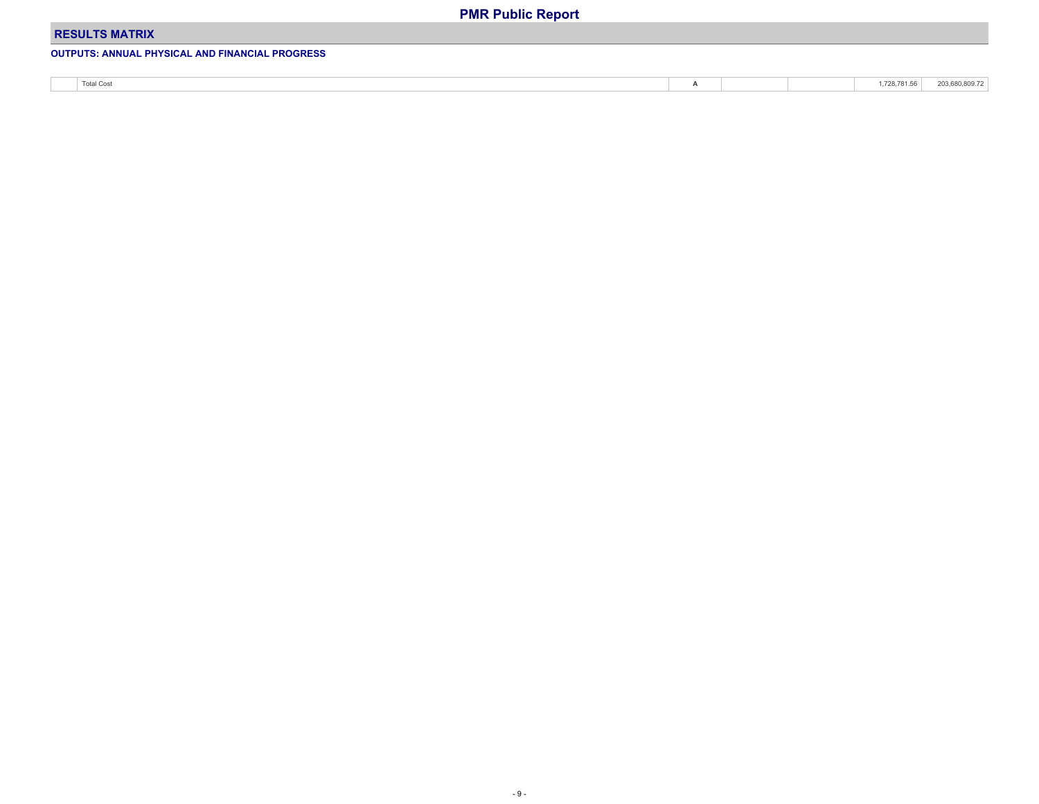### **RESULTS MATRIX**

### **OUTPUTS: ANNUAL PHYSICAL AND FINANCIAL PROGRESS**

| <b>Total Cost</b> | $-$ |  | . 728 781 56<br>$\cdots$ | 203,680,809.72 |
|-------------------|-----|--|--------------------------|----------------|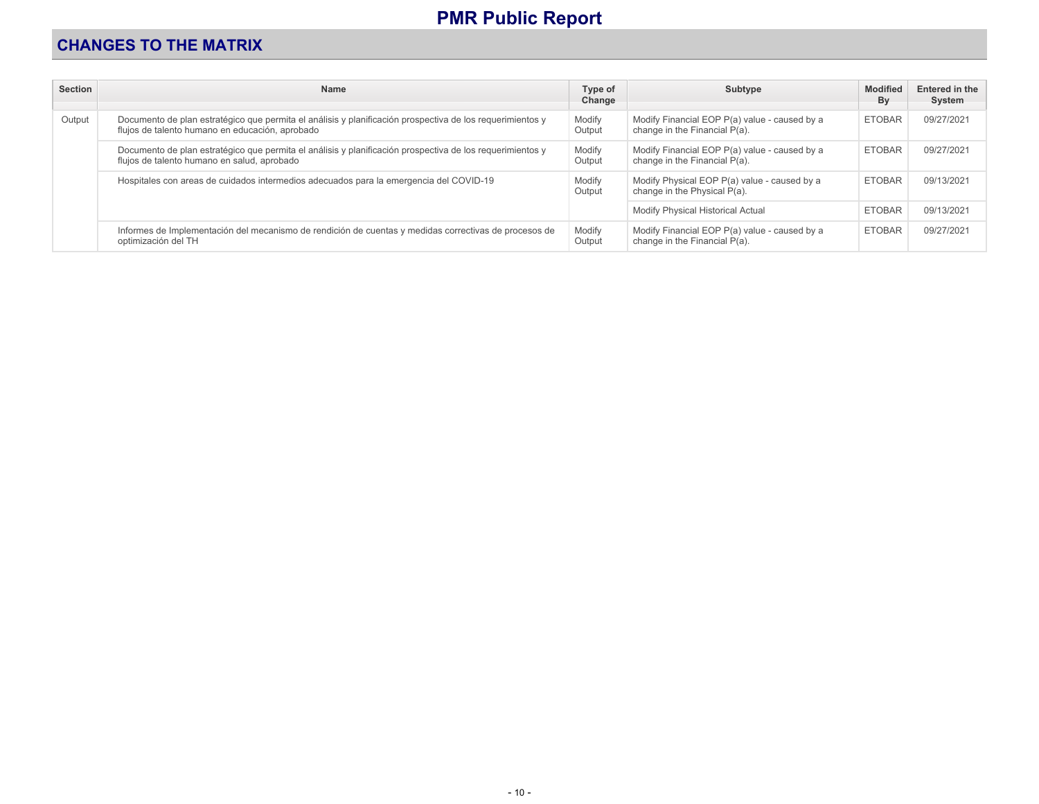## **CHANGES TO THE MATRIX**

| <b>Section</b> | <b>Name</b>                                                                                                                                                  | Type of<br>Change | Subtype                                                                        | <b>Modified</b><br>By | Entered in the<br>System |
|----------------|--------------------------------------------------------------------------------------------------------------------------------------------------------------|-------------------|--------------------------------------------------------------------------------|-----------------------|--------------------------|
| Output         | Documento de plan estratégico que permita el análisis y planificación prospectiva de los requerimientos y<br>flujos de talento humano en educación, aprobado | Modify<br>Output  | Modify Financial EOP P(a) value - caused by a<br>change in the Financial P(a). | <b>ETOBAR</b>         | 09/27/2021               |
|                | Documento de plan estratégico que permita el análisis y planificación prospectiva de los requerimientos y<br>flujos de talento humano en salud, aprobado     | Modify<br>Output  | Modify Financial EOP P(a) value - caused by a<br>change in the Financial P(a). | <b>ETOBAR</b>         | 09/27/2021               |
|                | Hospitales con areas de cuidados intermedios adecuados para la emergencia del COVID-19                                                                       | Modify<br>Output  | Modify Physical EOP P(a) value - caused by a<br>change in the Physical P(a).   | <b>ETOBAR</b>         | 09/13/2021               |
|                |                                                                                                                                                              |                   | Modify Physical Historical Actual                                              | <b>ETOBAR</b>         | 09/13/2021               |
|                | Informes de Implementación del mecanismo de rendición de cuentas y medidas correctivas de procesos de<br>optimización del TH                                 | Modify<br>Output  | Modify Financial EOP P(a) value - caused by a<br>change in the Financial P(a). | <b>ETOBAR</b>         | 09/27/2021               |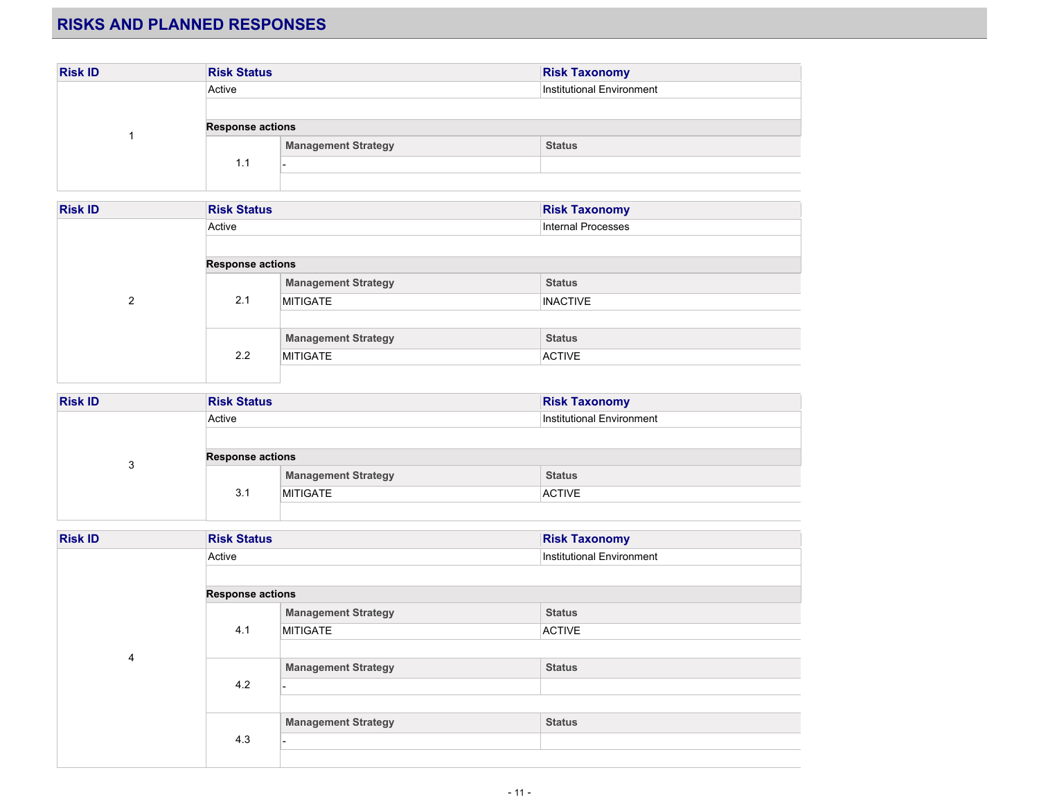## **RISKS AND PLANNED RESPONSES**

| <b>Risk ID</b> | <b>Risk Status</b>      |                            | <b>Risk Taxonomy</b>      |
|----------------|-------------------------|----------------------------|---------------------------|
|                | Active                  |                            | Institutional Environment |
|                |                         |                            |                           |
|                | <b>Response actions</b> |                            |                           |
|                | 1.1                     | <b>Management Strategy</b> | <b>Status</b>             |
|                |                         |                            |                           |
|                |                         |                            |                           |

| <b>Risk ID</b> | <b>Risk Status</b>      |                            | <b>Risk Taxonomy</b>      |  |  |
|----------------|-------------------------|----------------------------|---------------------------|--|--|
|                | Active                  |                            | <b>Internal Processes</b> |  |  |
|                |                         |                            |                           |  |  |
|                | <b>Response actions</b> |                            |                           |  |  |
|                |                         | <b>Management Strategy</b> | <b>Status</b>             |  |  |
| $\mathfrak{p}$ | 2.1                     | <b>MITIGATE</b>            | <b>INACTIVE</b>           |  |  |
|                |                         |                            |                           |  |  |
|                |                         | <b>Management Strategy</b> | <b>Status</b>             |  |  |
|                | 2.2                     | <b>MITIGATE</b>            | <b>ACTIVE</b>             |  |  |
|                |                         |                            |                           |  |  |

| <b>Risk ID</b> | <b>Risk Status</b>      |                            | <b>Risk Taxonomy</b>      |  |  |
|----------------|-------------------------|----------------------------|---------------------------|--|--|
|                | Active                  |                            | Institutional Environment |  |  |
|                |                         |                            |                           |  |  |
| ິ              | <b>Response actions</b> |                            |                           |  |  |
| J              |                         | <b>Management Strategy</b> | <b>Status</b>             |  |  |
|                | 3.1                     | <b>MITIGATE</b>            | <b>ACTIVE</b>             |  |  |
|                |                         |                            |                           |  |  |

| <b>Risk ID</b> | <b>Risk Status</b>      |                            | <b>Risk Taxonomy</b>      |
|----------------|-------------------------|----------------------------|---------------------------|
|                | Active                  |                            | Institutional Environment |
|                |                         |                            |                           |
|                | <b>Response actions</b> |                            |                           |
|                |                         | <b>Management Strategy</b> | <b>Status</b>             |
|                | 4.1                     | <b>MITIGATE</b>            | <b>ACTIVE</b>             |
| 4              |                         |                            |                           |
|                |                         | <b>Management Strategy</b> | <b>Status</b>             |
|                | 4.2                     |                            |                           |
|                |                         |                            |                           |
|                |                         | <b>Management Strategy</b> | <b>Status</b>             |
|                | 4.3                     |                            |                           |
|                |                         |                            |                           |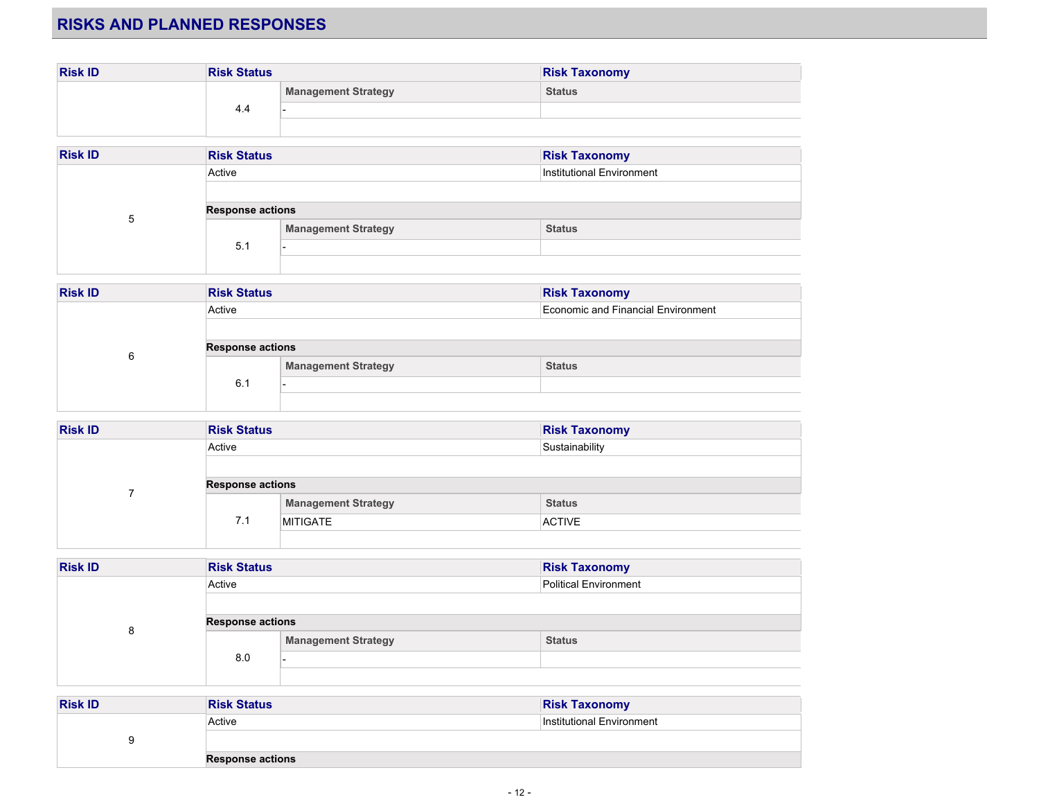## **RISKS AND PLANNED RESPONSES**

| <b>Risk ID</b> | <b>Risk Status</b> |                            | <b>Risk Taxonomy</b> |
|----------------|--------------------|----------------------------|----------------------|
|                | 4.4                | <b>Management Strategy</b> | <b>Status</b>        |
|                |                    |                            |                      |
|                |                    |                            |                      |

| <b>Risk ID</b> | <b>Risk Status</b>                  |                            | <b>Risk Taxonomy</b> |
|----------------|-------------------------------------|----------------------------|----------------------|
|                | Institutional Environment<br>Active |                            |                      |
|                |                                     |                            |                      |
|                | <b>Response actions</b>             |                            |                      |
| ხ              | 5.1                                 | <b>Management Strategy</b> | <b>Status</b>        |
|                |                                     |                            |                      |
|                |                                     |                            |                      |

| <b>Risk ID</b> | <b>Risk Status</b>      |                            | <b>Risk Taxonomy</b>               |
|----------------|-------------------------|----------------------------|------------------------------------|
|                | Active                  |                            | Economic and Financial Environment |
| 6              | <b>Response actions</b> |                            |                                    |
|                |                         | <b>Management Strategy</b> | <b>Status</b>                      |
|                | 6.1                     |                            |                                    |
|                |                         |                            |                                    |

| <b>Risk ID</b> | <b>Risk Status</b>      |                            | <b>Risk Taxonomy</b> |
|----------------|-------------------------|----------------------------|----------------------|
|                | Active                  |                            | Sustainability       |
|                |                         |                            |                      |
|                | <b>Response actions</b> |                            |                      |
|                |                         | <b>Management Strategy</b> | <b>Status</b>        |
|                | 7.1                     | <b>MITIGATE</b>            | <b>ACTIVE</b>        |
|                |                         |                            |                      |

| <b>Risk ID</b> | <b>Risk Status</b>      |                            | <b>Risk Taxonomy</b>  |
|----------------|-------------------------|----------------------------|-----------------------|
|                | Active                  |                            | Political Environment |
|                |                         |                            |                       |
| 8              | <b>Response actions</b> |                            |                       |
|                | 8.0                     | <b>Management Strategy</b> | <b>Status</b>         |
|                |                         |                            |                       |
|                |                         |                            |                       |

| <b>Risk ID</b> | <b>Risk Status</b>      | <b>Risk Taxonomy</b>      |
|----------------|-------------------------|---------------------------|
|                | Active                  | Institutional Environment |
| u              |                         |                           |
|                | <b>Response actions</b> |                           |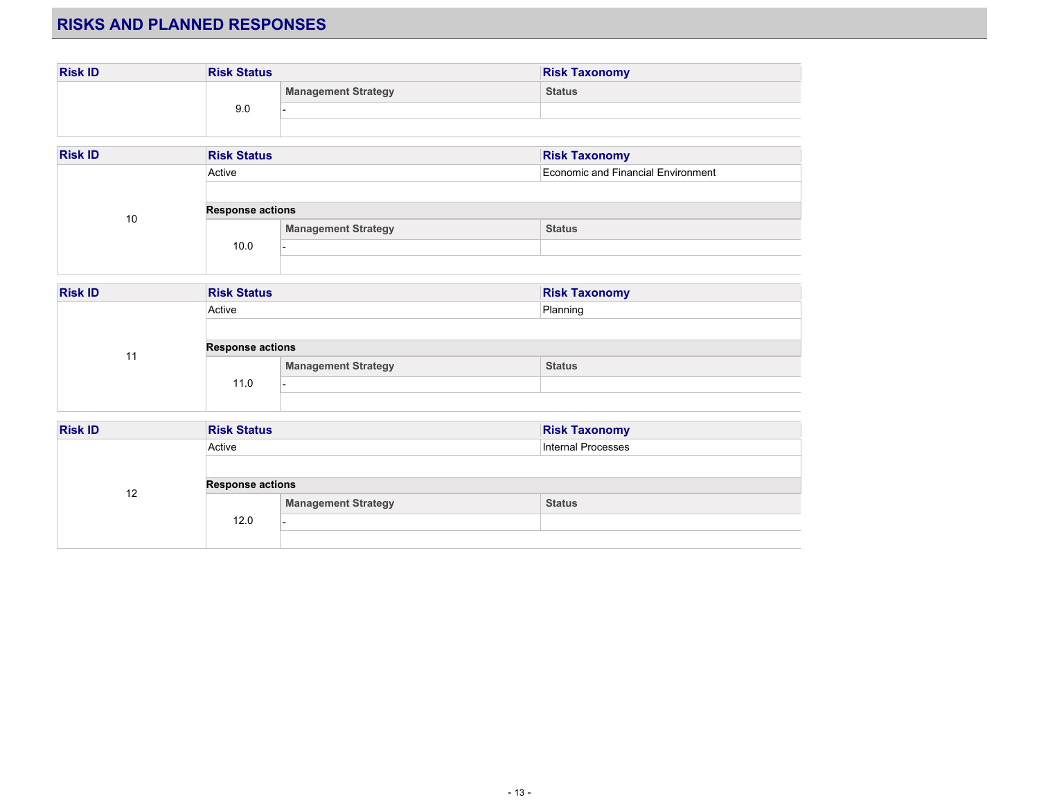## **RISKS AND PLANNED RESPONSES**

| <b>Risk ID</b> | <b>Risk Status</b> |                            | <b>Risk Taxonomy</b> |
|----------------|--------------------|----------------------------|----------------------|
|                | 9.0                | <b>Management Strategy</b> | <b>Status</b>        |
|                |                    |                            |                      |
|                |                    |                            |                      |

| <b>Risk ID</b> | <b>Risk Status</b>      |                            | <b>Risk Taxonomy</b>               |
|----------------|-------------------------|----------------------------|------------------------------------|
|                | Active                  |                            | Economic and Financial Environment |
| 10             | <b>Response actions</b> |                            |                                    |
|                |                         | <b>Management Strategy</b> | <b>Status</b>                      |
|                | 10.0                    |                            |                                    |
|                |                         |                            |                                    |

| <b>Risk ID</b> | <b>Risk Status</b>      |                            | <b>Risk Taxonomy</b> |
|----------------|-------------------------|----------------------------|----------------------|
|                | Active                  |                            | Planning             |
|                |                         |                            |                      |
|                | <b>Response actions</b> |                            |                      |
|                | 11.0                    | <b>Management Strategy</b> | <b>Status</b>        |
|                |                         |                            |                      |
|                |                         |                            |                      |

| <b>Risk ID</b> | <b>Risk Status</b>      |                            | <b>Risk Taxonomy</b>      |
|----------------|-------------------------|----------------------------|---------------------------|
|                | Active                  |                            | <b>Internal Processes</b> |
|                |                         |                            |                           |
| 12             | <b>Response actions</b> |                            |                           |
|                | 12.0                    | <b>Management Strategy</b> | <b>Status</b>             |
|                |                         |                            |                           |
|                |                         |                            |                           |